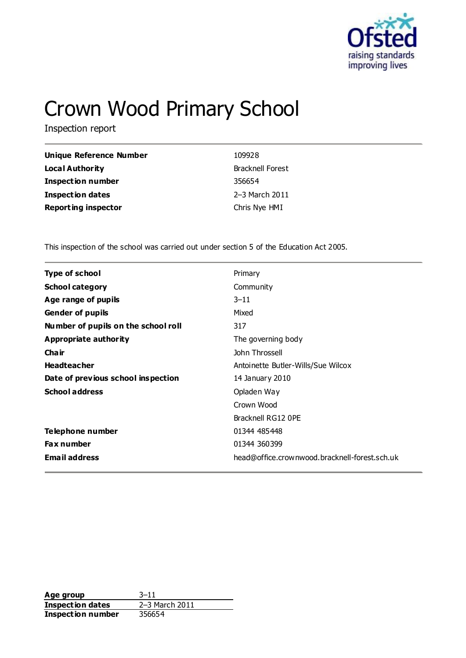

# Crown Wood Primary School

Inspection report

| Unique Reference Number    | 109928                  |
|----------------------------|-------------------------|
| Local Authority            | <b>Bracknell Forest</b> |
| <b>Inspection number</b>   | 356654                  |
| <b>Inspection dates</b>    | 2-3 March 2011          |
| <b>Reporting inspector</b> | Chris Nye HMI           |

This inspection of the school was carried out under section 5 of the Education Act 2005.

| <b>Type of school</b><br>Primary<br><b>School category</b><br>Community<br>Age range of pupils<br>$3 - 11$<br><b>Gender of pupils</b><br>Mixed<br>Number of pupils on the school roll<br>317<br><b>Appropriate authority</b><br>The governing body<br>John Throssell<br>Cha ir<br><b>Headteacher</b><br>Antoinette Butler-Wills/Sue Wilcox<br>Date of previous school inspection<br>14 January 2010<br><b>School address</b><br>Opladen Way<br>Crown Wood |  |
|-----------------------------------------------------------------------------------------------------------------------------------------------------------------------------------------------------------------------------------------------------------------------------------------------------------------------------------------------------------------------------------------------------------------------------------------------------------|--|
|                                                                                                                                                                                                                                                                                                                                                                                                                                                           |  |
|                                                                                                                                                                                                                                                                                                                                                                                                                                                           |  |
|                                                                                                                                                                                                                                                                                                                                                                                                                                                           |  |
|                                                                                                                                                                                                                                                                                                                                                                                                                                                           |  |
|                                                                                                                                                                                                                                                                                                                                                                                                                                                           |  |
|                                                                                                                                                                                                                                                                                                                                                                                                                                                           |  |
|                                                                                                                                                                                                                                                                                                                                                                                                                                                           |  |
|                                                                                                                                                                                                                                                                                                                                                                                                                                                           |  |
|                                                                                                                                                                                                                                                                                                                                                                                                                                                           |  |
|                                                                                                                                                                                                                                                                                                                                                                                                                                                           |  |
|                                                                                                                                                                                                                                                                                                                                                                                                                                                           |  |
| Bracknell RG12 OPE                                                                                                                                                                                                                                                                                                                                                                                                                                        |  |
| Telephone number<br>01344 485448                                                                                                                                                                                                                                                                                                                                                                                                                          |  |
| <b>Fax number</b><br>01344 360399                                                                                                                                                                                                                                                                                                                                                                                                                         |  |
| <b>Email address</b><br>head@office.crownwood.bracknell-forest.sch.uk                                                                                                                                                                                                                                                                                                                                                                                     |  |

**Age group** 3-11<br> **Inspection dates** 2-3 March 2011 **Inspection dates Inspection number** 356654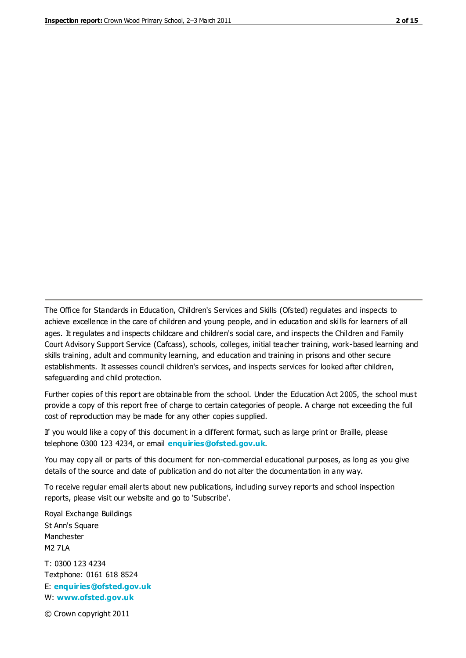The Office for Standards in Education, Children's Services and Skills (Ofsted) regulates and inspects to achieve excellence in the care of children and young people, and in education and skills for learners of all ages. It regulates and inspects childcare and children's social care, and inspects the Children and Family Court Advisory Support Service (Cafcass), schools, colleges, initial teacher training, work-based learning and skills training, adult and community learning, and education and training in prisons and other secure establishments. It assesses council children's services, and inspects services for looked after children, safeguarding and child protection.

Further copies of this report are obtainable from the school. Under the Education Act 2005, the school must provide a copy of this report free of charge to certain categories of people. A charge not exceeding the full cost of reproduction may be made for any other copies supplied.

If you would like a copy of this document in a different format, such as large print or Braille, please telephone 0300 123 4234, or email **[enquiries@ofsted.gov.uk](mailto:enquiries@ofsted.gov.uk)**.

You may copy all or parts of this document for non-commercial educational purposes, as long as you give details of the source and date of publication and do not alter the documentation in any way.

To receive regular email alerts about new publications, including survey reports and school inspection reports, please visit our website and go to 'Subscribe'.

Royal Exchange Buildings St Ann's Square Manchester M2 7LA T: 0300 123 4234 Textphone: 0161 618 8524 E: **[enquiries@ofsted.gov.uk](mailto:enquiries@ofsted.gov.uk)**

W: **[www.ofsted.gov.uk](http://www.ofsted.gov.uk/)**

© Crown copyright 2011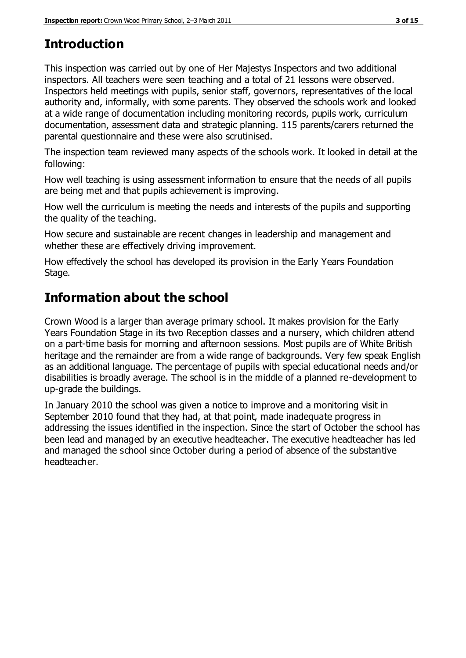# **Introduction**

This inspection was carried out by one of Her Majestys Inspectors and two additional inspectors. All teachers were seen teaching and a total of 21 lessons were observed. Inspectors held meetings with pupils, senior staff, governors, representatives of the local authority and, informally, with some parents. They observed the schools work and looked at a wide range of documentation including monitoring records, pupils work, curriculum documentation, assessment data and strategic planning. 115 parents/carers returned the parental questionnaire and these were also scrutinised.

The inspection team reviewed many aspects of the schools work. It looked in detail at the following:

How well teaching is using assessment information to ensure that the needs of all pupils are being met and that pupils achievement is improving.

How well the curriculum is meeting the needs and interests of the pupils and supporting the quality of the teaching.

How secure and sustainable are recent changes in leadership and management and whether these are effectively driving improvement.

How effectively the school has developed its provision in the Early Years Foundation Stage.

# **Information about the school**

Crown Wood is a larger than average primary school. It makes provision for the Early Years Foundation Stage in its two Reception classes and a nursery, which children attend on a part-time basis for morning and afternoon sessions. Most pupils are of White British heritage and the remainder are from a wide range of backgrounds. Very few speak English as an additional language. The percentage of pupils with special educational needs and/or disabilities is broadly average. The school is in the middle of a planned re-development to up-grade the buildings.

In January 2010 the school was given a notice to improve and a monitoring visit in September 2010 found that they had, at that point, made inadequate progress in addressing the issues identified in the inspection. Since the start of October the school has been lead and managed by an executive headteacher. The executive headteacher has led and managed the school since October during a period of absence of the substantive headteacher.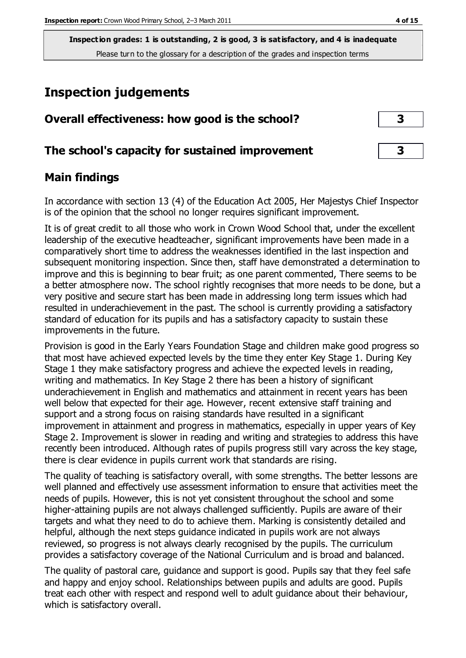# **Inspection judgements**

| Overall effectiveness: how good is the school?  | 3 |
|-------------------------------------------------|---|
| The school's capacity for sustained improvement | 3 |

# **Main findings**

In accordance with section 13 (4) of the Education Act 2005, Her Majestys Chief Inspector is of the opinion that the school no longer requires significant improvement.

It is of great credit to all those who work in Crown Wood School that, under the excellent leadership of the executive headteacher, significant improvements have been made in a comparatively short time to address the weaknesses identified in the last inspection and subsequent monitoring inspection. Since then, staff have demonstrated a determination to improve and this is beginning to bear fruit; as one parent commented, There seems to be a better atmosphere now. The school rightly recognises that more needs to be done, but a very positive and secure start has been made in addressing long term issues which had resulted in underachievement in the past. The school is currently providing a satisfactory standard of education for its pupils and has a satisfactory capacity to sustain these improvements in the future.

Provision is good in the Early Years Foundation Stage and children make good progress so that most have achieved expected levels by the time they enter Key Stage 1. During Key Stage 1 they make satisfactory progress and achieve the expected levels in reading, writing and mathematics. In Key Stage 2 there has been a history of significant underachievement in English and mathematics and attainment in recent years has been well below that expected for their age. However, recent extensive staff training and support and a strong focus on raising standards have resulted in a significant improvement in attainment and progress in mathematics, especially in upper years of Key Stage 2. Improvement is slower in reading and writing and strategies to address this have recently been introduced. Although rates of pupils progress still vary across the key stage, there is clear evidence in pupils current work that standards are rising.

The quality of teaching is satisfactory overall, with some strengths. The better lessons are well planned and effectively use assessment information to ensure that activities meet the needs of pupils. However, this is not yet consistent throughout the school and some higher-attaining pupils are not always challenged sufficiently. Pupils are aware of their targets and what they need to do to achieve them. Marking is consistently detailed and helpful, although the next steps guidance indicated in pupils work are not always reviewed, so progress is not always clearly recognised by the pupils. The curriculum provides a satisfactory coverage of the National Curriculum and is broad and balanced.

The quality of pastoral care, guidance and support is good. Pupils say that they feel safe and happy and enjoy school. Relationships between pupils and adults are good. Pupils treat each other with respect and respond well to adult guidance about their behaviour, which is satisfactory overall.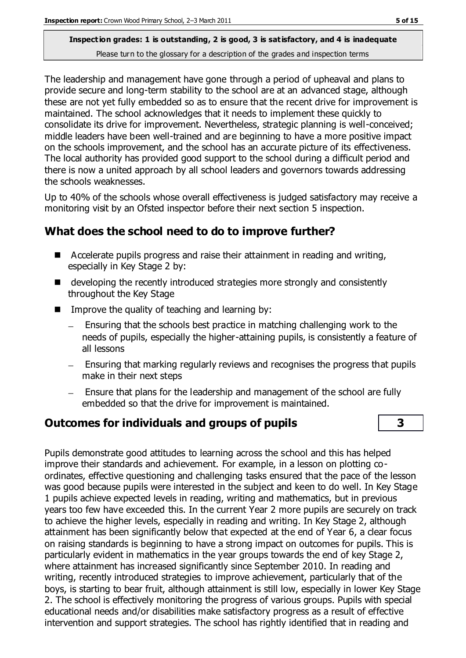The leadership and management have gone through a period of upheaval and plans to provide secure and long-term stability to the school are at an advanced stage, although these are not yet fully embedded so as to ensure that the recent drive for improvement is maintained. The school acknowledges that it needs to implement these quickly to consolidate its drive for improvement. Nevertheless, strategic planning is well-conceived; middle leaders have been well-trained and are beginning to have a more positive impact on the schools improvement, and the school has an accurate picture of its effectiveness. The local authority has provided good support to the school during a difficult period and there is now a united approach by all school leaders and governors towards addressing the schools weaknesses.

Up to 40% of the schools whose overall effectiveness is judged satisfactory may receive a monitoring visit by an Ofsted inspector before their next section 5 inspection.

# **What does the school need to do to improve further?**

- Accelerate pupils progress and raise their attainment in reading and writing, especially in Key Stage 2 by:
- developing the recently introduced strategies more strongly and consistently throughout the Key Stage
- $\blacksquare$  Improve the quality of teaching and learning by:
	- Ensuring that the schools best practice in matching challenging work to the needs of pupils, especially the higher-attaining pupils, is consistently a feature of all lessons
	- $-$  Ensuring that marking regularly reviews and recognises the progress that pupils make in their next steps
	- Ensure that plans for the leadership and management of the school are fully embedded so that the drive for improvement is maintained.

# **Outcomes for individuals and groups of pupils 3**

Pupils demonstrate good attitudes to learning across the school and this has helped improve their standards and achievement. For example, in a lesson on plotting coordinates, effective questioning and challenging tasks ensured that the pace of the lesson was good because pupils were interested in the subject and keen to do well. In Key Stage 1 pupils achieve expected levels in reading, writing and mathematics, but in previous years too few have exceeded this. In the current Year 2 more pupils are securely on track to achieve the higher levels, especially in reading and writing. In Key Stage 2, although attainment has been significantly below that expected at the end of Year 6, a clear focus on raising standards is beginning to have a strong impact on outcomes for pupils. This is particularly evident in mathematics in the year groups towards the end of key Stage 2, where attainment has increased significantly since September 2010. In reading and writing, recently introduced strategies to improve achievement, particularly that of the boys, is starting to bear fruit, although attainment is still low, especially in lower Key Stage 2. The school is effectively monitoring the progress of various groups. Pupils with special educational needs and/or disabilities make satisfactory progress as a result of effective intervention and support strategies. The school has rightly identified that in reading and

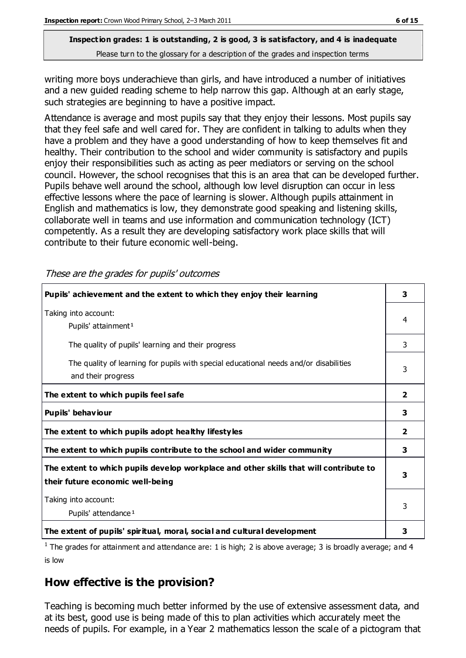writing more boys underachieve than girls, and have introduced a number of initiatives and a new guided reading scheme to help narrow this gap. Although at an early stage, such strategies are beginning to have a positive impact.

Attendance is average and most pupils say that they enjoy their lessons. Most pupils say that they feel safe and well cared for. They are confident in talking to adults when they have a problem and they have a good understanding of how to keep themselves fit and healthy. Their contribution to the school and wider community is satisfactory and pupils enjoy their responsibilities such as acting as peer mediators or serving on the school council. However, the school recognises that this is an area that can be developed further. Pupils behave well around the school, although low level disruption can occur in less effective lessons where the pace of learning is slower. Although pupils attainment in English and mathematics is low, they demonstrate good speaking and listening skills, collaborate well in teams and use information and communication technology (ICT) competently. As a result they are developing satisfactory work place skills that will contribute to their future economic well-being.

These are the grades for pupils' outcomes

| Pupils' achievement and the extent to which they enjoy their learning                                                     | 3                       |
|---------------------------------------------------------------------------------------------------------------------------|-------------------------|
| Taking into account:<br>Pupils' attainment <sup>1</sup>                                                                   | 4                       |
| The quality of pupils' learning and their progress                                                                        | 3                       |
| The quality of learning for pupils with special educational needs and/or disabilities<br>and their progress               | 3                       |
| The extent to which pupils feel safe                                                                                      | $\overline{\mathbf{2}}$ |
| Pupils' behaviour                                                                                                         | 3                       |
| The extent to which pupils adopt healthy lifestyles                                                                       | $\overline{\mathbf{2}}$ |
| The extent to which pupils contribute to the school and wider community                                                   | 3                       |
| The extent to which pupils develop workplace and other skills that will contribute to<br>their future economic well-being | 3                       |
| Taking into account:<br>Pupils' attendance <sup>1</sup>                                                                   | 3                       |
| The extent of pupils' spiritual, moral, social and cultural development                                                   | 3                       |

<sup>1</sup> The grades for attainment and attendance are: 1 is high; 2 is above average; 3 is broadly average; and 4 is low

# **How effective is the provision?**

Teaching is becoming much better informed by the use of extensive assessment data, and at its best, good use is being made of this to plan activities which accurately meet the needs of pupils. For example, in a Year 2 mathematics lesson the scale of a pictogram that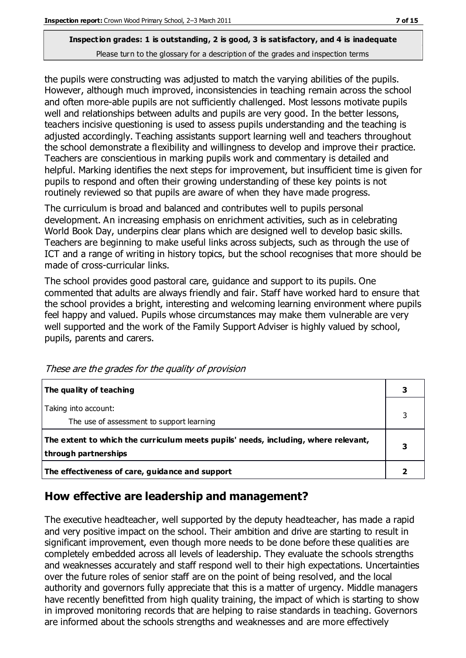the pupils were constructing was adjusted to match the varying abilities of the pupils. However, although much improved, inconsistencies in teaching remain across the school and often more-able pupils are not sufficiently challenged. Most lessons motivate pupils well and relationships between adults and pupils are very good. In the better lessons, teachers incisive questioning is used to assess pupils understanding and the teaching is adjusted accordingly. Teaching assistants support learning well and teachers throughout the school demonstrate a flexibility and willingness to develop and improve their practice. Teachers are conscientious in marking pupils work and commentary is detailed and helpful. Marking identifies the next steps for improvement, but insufficient time is given for pupils to respond and often their growing understanding of these key points is not routinely reviewed so that pupils are aware of when they have made progress.

The curriculum is broad and balanced and contributes well to pupils personal development. An increasing emphasis on enrichment activities, such as in celebrating World Book Day, underpins clear plans which are designed well to develop basic skills. Teachers are beginning to make useful links across subjects, such as through the use of ICT and a range of writing in history topics, but the school recognises that more should be made of cross-curricular links.

The school provides good pastoral care, guidance and support to its pupils. One commented that adults are always friendly and fair. Staff have worked hard to ensure that the school provides a bright, interesting and welcoming learning environment where pupils feel happy and valued. Pupils whose circumstances may make them vulnerable are very well supported and the work of the Family Support Adviser is highly valued by school, pupils, parents and carers.

| The quality of teaching                                                                                    | 3 |
|------------------------------------------------------------------------------------------------------------|---|
| Taking into account:<br>The use of assessment to support learning                                          | 3 |
| The extent to which the curriculum meets pupils' needs, including, where relevant,<br>through partnerships |   |
| The effectiveness of care, guidance and support                                                            |   |

These are the grades for the quality of provision

# **How effective are leadership and management?**

The executive headteacher, well supported by the deputy headteacher, has made a rapid and very positive impact on the school. Their ambition and drive are starting to result in significant improvement, even though more needs to be done before these qualities are completely embedded across all levels of leadership. They evaluate the schools strengths and weaknesses accurately and staff respond well to their high expectations. Uncertainties over the future roles of senior staff are on the point of being resolved, and the local authority and governors fully appreciate that this is a matter of urgency. Middle managers have recently benefitted from high quality training, the impact of which is starting to show in improved monitoring records that are helping to raise standards in teaching. Governors are informed about the schools strengths and weaknesses and are more effectively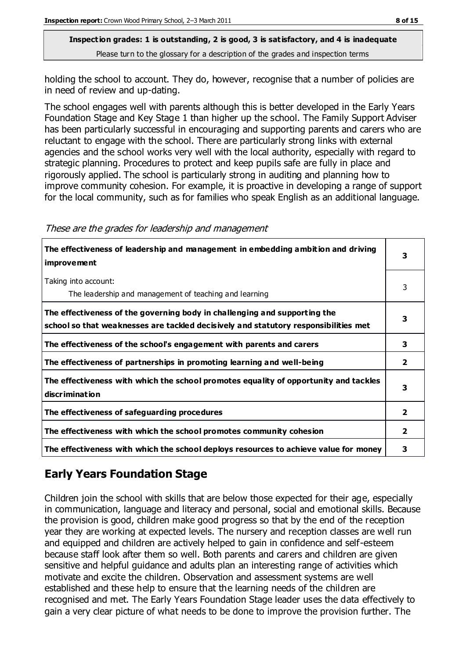holding the school to account. They do, however, recognise that a number of policies are in need of review and up-dating.

The school engages well with parents although this is better developed in the Early Years Foundation Stage and Key Stage 1 than higher up the school. The Family Support Adviser has been particularly successful in encouraging and supporting parents and carers who are reluctant to engage with the school. There are particularly strong links with external agencies and the school works very well with the local authority, especially with regard to strategic planning. Procedures to protect and keep pupils safe are fully in place and rigorously applied. The school is particularly strong in auditing and planning how to improve community cohesion. For example, it is proactive in developing a range of support for the local community, such as for families who speak English as an additional language.

| The effectiveness of leadership and management in embedding ambition and driving<br><b>improvement</b>                                                           | 3                       |
|------------------------------------------------------------------------------------------------------------------------------------------------------------------|-------------------------|
| Taking into account:<br>The leadership and management of teaching and learning                                                                                   | 3                       |
| The effectiveness of the governing body in challenging and supporting the<br>school so that weaknesses are tackled decisively and statutory responsibilities met | 3                       |
| The effectiveness of the school's engagement with parents and carers                                                                                             | 3                       |
| The effectiveness of partnerships in promoting learning and well-being                                                                                           | $\overline{2}$          |
| The effectiveness with which the school promotes equality of opportunity and tackles<br><b>discrimination</b>                                                    | 3                       |
| The effectiveness of safeguarding procedures                                                                                                                     | $\overline{\mathbf{2}}$ |
| The effectiveness with which the school promotes community cohesion                                                                                              | 2                       |
| The effectiveness with which the school deploys resources to achieve value for money                                                                             | 3                       |

#### These are the grades for leadership and management

# **Early Years Foundation Stage**

Children join the school with skills that are below those expected for their age, especially in communication, language and literacy and personal, social and emotional skills. Because the provision is good, children make good progress so that by the end of the reception year they are working at expected levels. The nursery and reception classes are well run and equipped and children are actively helped to gain in confidence and self-esteem because staff look after them so well. Both parents and carers and children are given sensitive and helpful guidance and adults plan an interesting range of activities which motivate and excite the children. Observation and assessment systems are well established and these help to ensure that the learning needs of the children are recognised and met. The Early Years Foundation Stage leader uses the data effectively to gain a very clear picture of what needs to be done to improve the provision further. The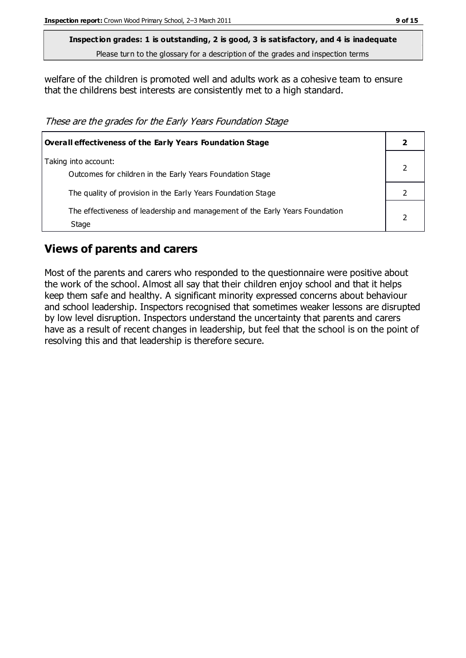welfare of the children is promoted well and adults work as a cohesive team to ensure that the childrens best interests are consistently met to a high standard.

These are the grades for the Early Years Foundation Stage

| Overall effectiveness of the Early Years Foundation Stage                             |  |
|---------------------------------------------------------------------------------------|--|
| Taking into account:<br>Outcomes for children in the Early Years Foundation Stage     |  |
| The quality of provision in the Early Years Foundation Stage                          |  |
| The effectiveness of leadership and management of the Early Years Foundation<br>Stage |  |

### **Views of parents and carers**

Most of the parents and carers who responded to the questionnaire were positive about the work of the school. Almost all say that their children enjoy school and that it helps keep them safe and healthy. A significant minority expressed concerns about behaviour and school leadership. Inspectors recognised that sometimes weaker lessons are disrupted by low level disruption. Inspectors understand the uncertainty that parents and carers have as a result of recent changes in leadership, but feel that the school is on the point of resolving this and that leadership is therefore secure.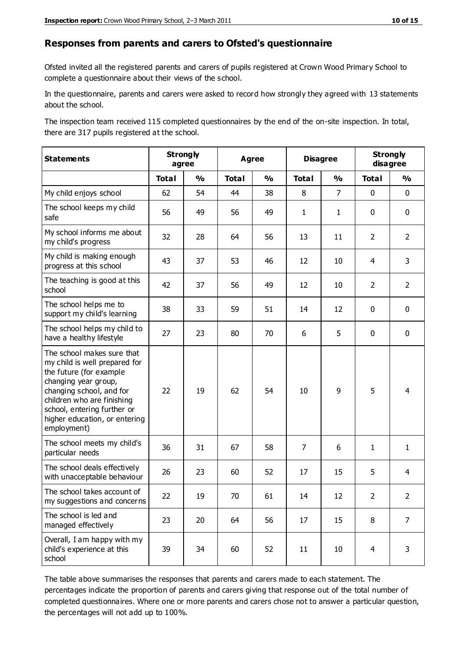#### **Responses from parents and carers to Ofsted's questionnaire**

Ofsted invited all the registered parents and carers of pupils registered at Crown Wood Primary School to complete a questionnaire about their views of the school.

In the questionnaire, parents and carers were asked to record how strongly they agreed with 13 statements about the school.

The inspection team received 115 completed questionnaires by the end of the on-site inspection. In total, there are 317 pupils registered at the school.

| <b>Statements</b>                                                                                                                                                                                                                                       | <b>Strongly</b><br>agree |               |              | <b>Agree</b>  |                | <b>Disagree</b> | <b>Strongly</b> | disagree       |
|---------------------------------------------------------------------------------------------------------------------------------------------------------------------------------------------------------------------------------------------------------|--------------------------|---------------|--------------|---------------|----------------|-----------------|-----------------|----------------|
|                                                                                                                                                                                                                                                         | <b>Total</b>             | $\frac{1}{2}$ | <b>Total</b> | $\frac{0}{0}$ | <b>Total</b>   | $\frac{1}{2}$   | <b>Total</b>    | $\frac{0}{0}$  |
| My child enjoys school                                                                                                                                                                                                                                  | 62                       | 54            | 44           | 38            | 8              | $\overline{7}$  | $\mathbf 0$     | $\mathbf 0$    |
| The school keeps my child<br>safe                                                                                                                                                                                                                       | 56                       | 49            | 56           | 49            | $\mathbf{1}$   | $\mathbf{1}$    | $\mathbf 0$     | $\mathbf 0$    |
| My school informs me about<br>my child's progress                                                                                                                                                                                                       | 32                       | 28            | 64           | 56            | 13             | 11              | $\overline{2}$  | $\overline{2}$ |
| My child is making enough<br>progress at this school                                                                                                                                                                                                    | 43                       | 37            | 53           | 46            | 12             | 10              | 4               | 3              |
| The teaching is good at this<br>school                                                                                                                                                                                                                  | 42                       | 37            | 56           | 49            | 12             | 10              | $\overline{2}$  | $\overline{2}$ |
| The school helps me to<br>support my child's learning                                                                                                                                                                                                   | 38                       | 33            | 59           | 51            | 14             | 12              | $\mathbf 0$     | $\mathbf 0$    |
| The school helps my child to<br>have a healthy lifestyle                                                                                                                                                                                                | 27                       | 23            | 80           | 70            | 6              | 5               | $\mathbf 0$     | $\mathbf 0$    |
| The school makes sure that<br>my child is well prepared for<br>the future (for example<br>changing year group,<br>changing school, and for<br>children who are finishing<br>school, entering further or<br>higher education, or entering<br>employment) | 22                       | 19            | 62           | 54            | 10             | 9               | 5               | $\overline{4}$ |
| The school meets my child's<br>particular needs                                                                                                                                                                                                         | 36                       | 31            | 67           | 58            | $\overline{7}$ | 6               | $\mathbf{1}$    | $\mathbf{1}$   |
| The school deals effectively<br>with unacceptable behaviour                                                                                                                                                                                             | 26                       | 23            | 60           | 52            | 17             | 15              | 5               | 4              |
| The school takes account of<br>my suggestions and concerns                                                                                                                                                                                              | 22                       | 19            | 70           | 61            | 14             | 12              | $\overline{2}$  | $\mathcal{P}$  |
| The school is led and<br>managed effectively                                                                                                                                                                                                            | 23                       | 20            | 64           | 56            | 17             | 15              | 8               | $\overline{7}$ |
| Overall, I am happy with my<br>child's experience at this<br>school                                                                                                                                                                                     | 39                       | 34            | 60           | 52            | 11             | 10              | $\overline{4}$  | 3              |

The table above summarises the responses that parents and carers made to each statement. The percentages indicate the proportion of parents and carers giving that response out of the total number of completed questionnaires. Where one or more parents and carers chose not to answer a particular question, the percentages will not add up to 100%.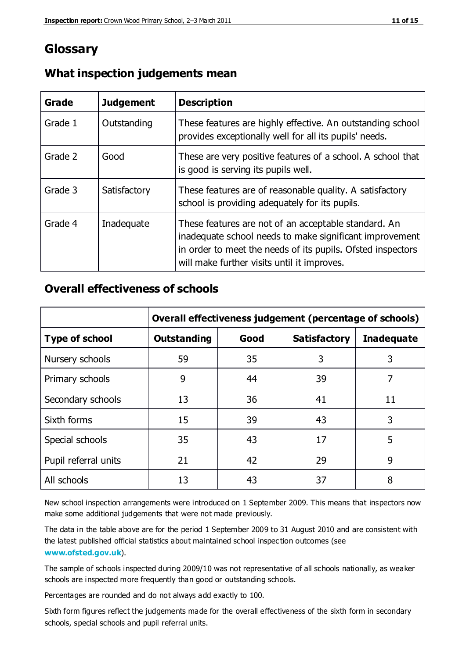# **Glossary**

| Grade   | <b>Judgement</b> | <b>Description</b>                                                                                                                                                                                                            |
|---------|------------------|-------------------------------------------------------------------------------------------------------------------------------------------------------------------------------------------------------------------------------|
| Grade 1 | Outstanding      | These features are highly effective. An outstanding school<br>provides exceptionally well for all its pupils' needs.                                                                                                          |
| Grade 2 | Good             | These are very positive features of a school. A school that<br>is good is serving its pupils well.                                                                                                                            |
| Grade 3 | Satisfactory     | These features are of reasonable quality. A satisfactory<br>school is providing adequately for its pupils.                                                                                                                    |
| Grade 4 | Inadequate       | These features are not of an acceptable standard. An<br>inadequate school needs to make significant improvement<br>in order to meet the needs of its pupils. Ofsted inspectors<br>will make further visits until it improves. |

### **What inspection judgements mean**

### **Overall effectiveness of schools**

|                       | Overall effectiveness judgement (percentage of schools) |      |                     |                   |
|-----------------------|---------------------------------------------------------|------|---------------------|-------------------|
| <b>Type of school</b> | <b>Outstanding</b>                                      | Good | <b>Satisfactory</b> | <b>Inadequate</b> |
| Nursery schools       | 59                                                      | 35   | 3                   | 3                 |
| Primary schools       | 9                                                       | 44   | 39                  | 7                 |
| Secondary schools     | 13                                                      | 36   | 41                  | 11                |
| Sixth forms           | 15                                                      | 39   | 43                  | 3                 |
| Special schools       | 35                                                      | 43   | 17                  | 5                 |
| Pupil referral units  | 21                                                      | 42   | 29                  | 9                 |
| All schools           | 13                                                      | 43   | 37                  | 8                 |

New school inspection arrangements were introduced on 1 September 2009. This means that inspectors now make some additional judgements that were not made previously.

The data in the table above are for the period 1 September 2009 to 31 August 2010 and are consistent with the latest published official statistics about maintained school inspec tion outcomes (see **[www.ofsted.gov.uk](http://www.ofsted.gov.uk/)**).

The sample of schools inspected during 2009/10 was not representative of all schools nationally, as weaker schools are inspected more frequently than good or outstanding schools.

Percentages are rounded and do not always add exactly to 100.

Sixth form figures reflect the judgements made for the overall effectiveness of the sixth form in secondary schools, special schools and pupil referral units.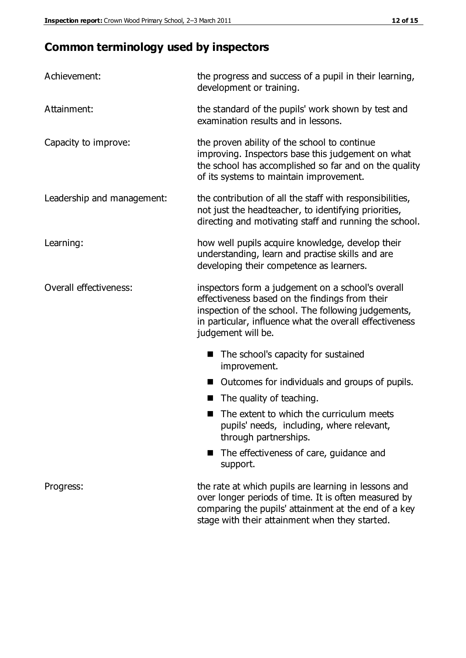# **Common terminology used by inspectors**

| Achievement:               | the progress and success of a pupil in their learning,<br>development or training.                                                                                                                                                          |
|----------------------------|---------------------------------------------------------------------------------------------------------------------------------------------------------------------------------------------------------------------------------------------|
| Attainment:                | the standard of the pupils' work shown by test and<br>examination results and in lessons.                                                                                                                                                   |
| Capacity to improve:       | the proven ability of the school to continue<br>improving. Inspectors base this judgement on what<br>the school has accomplished so far and on the quality<br>of its systems to maintain improvement.                                       |
| Leadership and management: | the contribution of all the staff with responsibilities,<br>not just the headteacher, to identifying priorities,<br>directing and motivating staff and running the school.                                                                  |
| Learning:                  | how well pupils acquire knowledge, develop their<br>understanding, learn and practise skills and are<br>developing their competence as learners.                                                                                            |
| Overall effectiveness:     | inspectors form a judgement on a school's overall<br>effectiveness based on the findings from their<br>inspection of the school. The following judgements,<br>in particular, influence what the overall effectiveness<br>judgement will be. |
|                            | The school's capacity for sustained<br>improvement.                                                                                                                                                                                         |
|                            | Outcomes for individuals and groups of pupils.                                                                                                                                                                                              |
|                            | The quality of teaching.                                                                                                                                                                                                                    |
|                            | The extent to which the curriculum meets<br>pupils' needs, including, where relevant,<br>through partnerships.                                                                                                                              |
|                            | The effectiveness of care, guidance and<br>support.                                                                                                                                                                                         |
| Progress:                  | the rate at which pupils are learning in lessons and<br>over longer periods of time. It is often measured by<br>comparing the pupils' attainment at the end of a key                                                                        |

stage with their attainment when they started.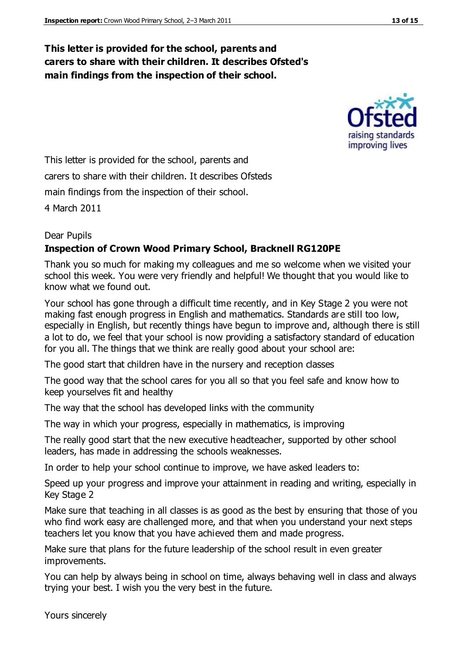### **This letter is provided for the school, parents and carers to share with their children. It describes Ofsted's main findings from the inspection of their school.**



This letter is provided for the school, parents and carers to share with their children. It describes Ofsteds main findings from the inspection of their school.

4 March 2011

#### Dear Pupils

#### **Inspection of Crown Wood Primary School, Bracknell RG120PE**

Thank you so much for making my colleagues and me so welcome when we visited your school this week. You were very friendly and helpful! We thought that you would like to know what we found out.

Your school has gone through a difficult time recently, and in Key Stage 2 you were not making fast enough progress in English and mathematics. Standards are still too low, especially in English, but recently things have begun to improve and, although there is still a lot to do, we feel that your school is now providing a satisfactory standard of education for you all. The things that we think are really good about your school are:

The good start that children have in the nursery and reception classes

The good way that the school cares for you all so that you feel safe and know how to keep yourselves fit and healthy

The way that the school has developed links with the community

The way in which your progress, especially in mathematics, is improving

The really good start that the new executive headteacher, supported by other school leaders, has made in addressing the schools weaknesses.

In order to help your school continue to improve, we have asked leaders to:

Speed up your progress and improve your attainment in reading and writing, especially in Key Stage 2

Make sure that teaching in all classes is as good as the best by ensuring that those of you who find work easy are challenged more, and that when you understand your next steps teachers let you know that you have achieved them and made progress.

Make sure that plans for the future leadership of the school result in even greater improvements.

You can help by always being in school on time, always behaving well in class and always trying your best. I wish you the very best in the future.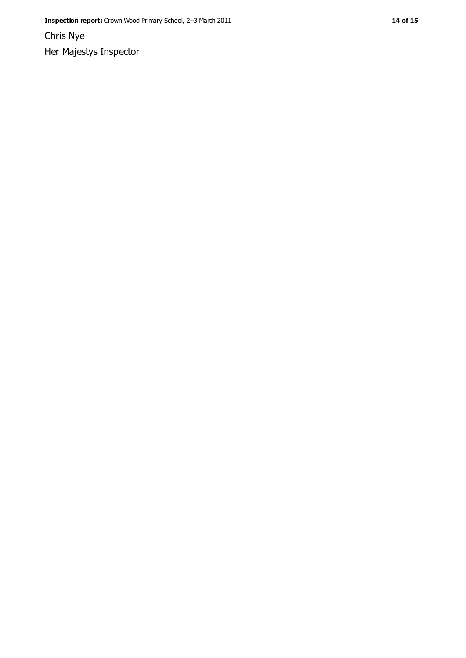Chris Nye Her Majestys Inspector